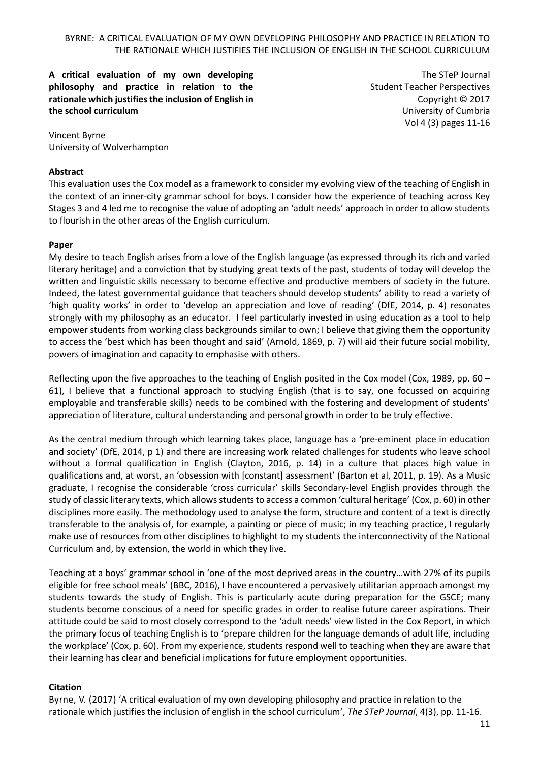**A critical evaluation of my own developing philosophy and practice in relation to the rationale which justifies the inclusion of English in the school curriculum**

The STeP Journal Student Teacher Perspectives Copyright © 2017 University of Cumbria Vol 4 (3) pages 11-16

Vincent Byrne University of Wolverhampton

#### **Abstract**

This evaluation uses the Cox model as a framework to consider my evolving view of the teaching of English in the context of an inner-city grammar school for boys. I consider how the experience of teaching across Key Stages 3 and 4 led me to recognise the value of adopting an 'adult needs' approach in order to allow students to flourish in the other areas of the English curriculum.

# **Paper**

My desire to teach English arises from a love of the English language (as expressed through its rich and varied literary heritage) and a conviction that by studying great texts of the past, students of today will develop the written and linguistic skills necessary to become effective and productive members of society in the future. Indeed, the latest governmental guidance that teachers should develop students' ability to read a variety of 'high quality works' in order to 'develop an appreciation and love of reading' (DfE, 2014, p. 4) resonates strongly with my philosophy as an educator. I feel particularly invested in using education as a tool to help empower students from working class backgrounds similar to own; I believe that giving them the opportunity to access the 'best which has been thought and said' (Arnold, 1869, p. 7) will aid their future social mobility, powers of imagination and capacity to emphasise with others.

Reflecting upon the five approaches to the teaching of English posited in the Cox model (Cox, 1989, pp. 60 – 61), I believe that a functional approach to studying English (that is to say, one focussed on acquiring employable and transferable skills) needs to be combined with the fostering and development of students' appreciation of literature, cultural understanding and personal growth in order to be truly effective.

As the central medium through which learning takes place, language has a 'pre-eminent place in education and society' (DfE, 2014, p 1) and there are increasing work related challenges for students who leave school without a formal qualification in English (Clayton, 2016, p. 14) in a culture that places high value in qualifications and, at worst, an 'obsession with [constant] assessment' (Barton et al, 2011, p. 19). As a Music graduate, I recognise the considerable 'cross curricular' skills Secondary-level English provides through the study of classic literary texts, which allowsstudents to access a common 'cultural heritage' (Cox, p. 60) in other disciplines more easily. The methodology used to analyse the form, structure and content of a text is directly transferable to the analysis of, for example, a painting or piece of music; in my teaching practice, I regularly make use of resources from other disciplines to highlight to my students the interconnectivity of the National Curriculum and, by extension, the world in which they live.

Teaching at a boys' grammar school in 'one of the most deprived areas in the country…with 27% of its pupils eligible for free school meals' (BBC, 2016), I have encountered a pervasively utilitarian approach amongst my students towards the study of English. This is particularly acute during preparation for the GSCE; many students become conscious of a need for specific grades in order to realise future career aspirations. Their attitude could be said to most closely correspond to the 'adult needs' view listed in the Cox Report, in which the primary focus of teaching English is to 'prepare children for the language demands of adult life, including the workplace' (Cox, p. 60). From my experience, students respond well to teaching when they are aware that their learning has clear and beneficial implications for future employment opportunities.

# **Citation**

Byrne, V. (2017) 'A critical evaluation of my own developing philosophy and practice in relation to the rationale which justifies the inclusion of english in the school curriculum', *The STeP Journal*, 4(3), pp. 11-16.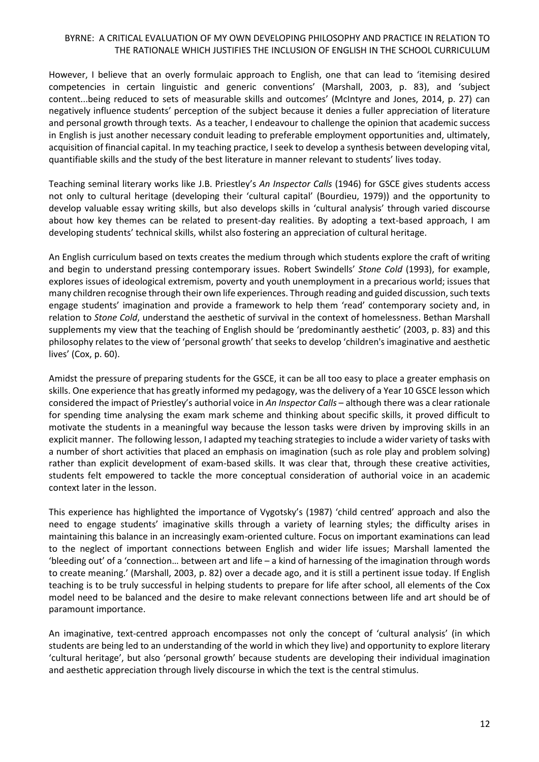However, I believe that an overly formulaic approach to English, one that can lead to 'itemising desired competencies in certain linguistic and generic conventions' (Marshall, 2003, p. 83), and 'subject content...being reduced to sets of measurable skills and outcomes' (McIntyre and Jones, 2014, p. 27) can negatively influence students' perception of the subject because it denies a fuller appreciation of literature and personal growth through texts. As a teacher, I endeavour to challenge the opinion that academic success in English is just another necessary conduit leading to preferable employment opportunities and, ultimately, acquisition of financial capital. In my teaching practice, I seek to develop a synthesis between developing vital, quantifiable skills and the study of the best literature in manner relevant to students' lives today.

Teaching seminal literary works like J.B. Priestley's *An Inspector Calls* (1946) for GSCE gives students access not only to cultural heritage (developing their 'cultural capital' (Bourdieu, 1979)) and the opportunity to develop valuable essay writing skills, but also develops skills in 'cultural analysis' through varied discourse about how key themes can be related to present-day realities. By adopting a text-based approach, I am developing students' technical skills, whilst also fostering an appreciation of cultural heritage.

An English curriculum based on texts creates the medium through which students explore the craft of writing and begin to understand pressing contemporary issues. Robert Swindells' *Stone Cold* (1993), for example, explores issues of ideological extremism, poverty and youth unemployment in a precarious world; issues that many children recognise through their own life experiences. Through reading and guided discussion, such texts engage students' imagination and provide a framework to help them 'read' contemporary society and, in relation to *Stone Cold*, understand the aesthetic of survival in the context of homelessness. Bethan Marshall supplements my view that the teaching of English should be 'predominantly aesthetic' (2003, p. 83) and this philosophy relates to the view of 'personal growth' that seeks to develop 'children's imaginative and aesthetic lives' (Cox, p. 60).

Amidst the pressure of preparing students for the GSCE, it can be all too easy to place a greater emphasis on skills. One experience that has greatly informed my pedagogy, was the delivery of a Year 10 GSCE lesson which considered the impact of Priestley's authorial voice in *An Inspector Calls* – although there was a clear rationale for spending time analysing the exam mark scheme and thinking about specific skills, it proved difficult to motivate the students in a meaningful way because the lesson tasks were driven by improving skills in an explicit manner. The following lesson, I adapted my teaching strategies to include a wider variety of tasks with a number of short activities that placed an emphasis on imagination (such as role play and problem solving) rather than explicit development of exam-based skills. It was clear that, through these creative activities, students felt empowered to tackle the more conceptual consideration of authorial voice in an academic context later in the lesson.

This experience has highlighted the importance of Vygotsky's (1987) 'child centred' approach and also the need to engage students' imaginative skills through a variety of learning styles; the difficulty arises in maintaining this balance in an increasingly exam-oriented culture. Focus on important examinations can lead to the neglect of important connections between English and wider life issues; Marshall lamented the 'bleeding out' of a 'connection… between art and life – a kind of harnessing of the imagination through words to create meaning.' (Marshall, 2003, p. 82) over a decade ago, and it is still a pertinent issue today. If English teaching is to be truly successful in helping students to prepare for life after school, all elements of the Cox model need to be balanced and the desire to make relevant connections between life and art should be of paramount importance.

An imaginative, text-centred approach encompasses not only the concept of 'cultural analysis' (in which students are being led to an understanding of the world in which they live) and opportunity to explore literary 'cultural heritage', but also 'personal growth' because students are developing their individual imagination and aesthetic appreciation through lively discourse in which the text is the central stimulus.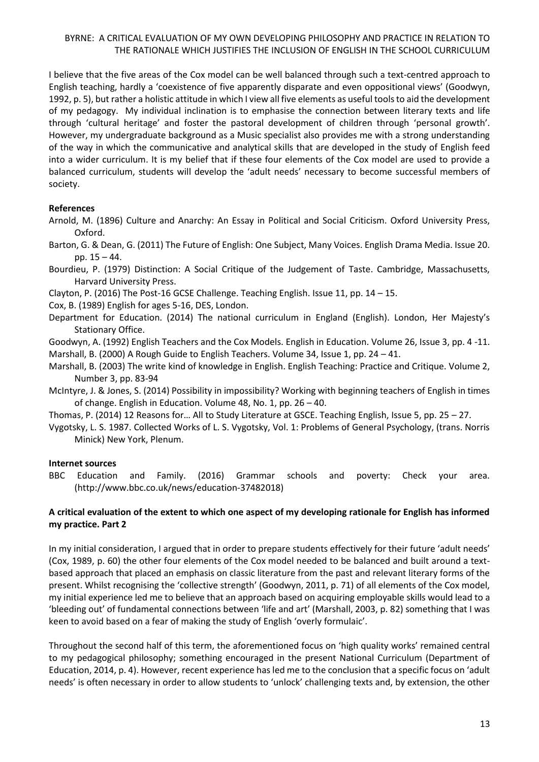I believe that the five areas of the Cox model can be well balanced through such a text-centred approach to English teaching, hardly a 'coexistence of five apparently disparate and even oppositional views' (Goodwyn, 1992, p. 5), but rather a holistic attitude in which I view all five elements as useful tools to aid the development of my pedagogy. My individual inclination is to emphasise the connection between literary texts and life through 'cultural heritage' and foster the pastoral development of children through 'personal growth'. However, my undergraduate background as a Music specialist also provides me with a strong understanding of the way in which the communicative and analytical skills that are developed in the study of English feed into a wider curriculum. It is my belief that if these four elements of the Cox model are used to provide a balanced curriculum, students will develop the 'adult needs' necessary to become successful members of society.

# **References**

Arnold, M. (1896) Culture and Anarchy: An Essay in Political and Social Criticism. Oxford University Press, Oxford.

Barton, G. & Dean, G. (2011) The Future of English: One Subject, Many Voices. English Drama Media. Issue 20. pp. 15 – 44.

Bourdieu, P. (1979) Distinction: A Social Critique of the Judgement of Taste. Cambridge, Massachusetts, Harvard University Press.

Clayton, P. (2016) The Post-16 GCSE Challenge. Teaching English. Issue 11, pp. 14 – 15.

Cox, B. (1989) English for ages 5-16, DES, London.

Department for Education. (2014) The national curriculum in England (English). London, Her Majesty's Stationary Office.

Goodwyn, A. (1992) English Teachers and the Cox Models. English in Education. Volume 26, Issue 3, pp. 4 -11. Marshall, B. (2000) A Rough Guide to English Teachers. Volume 34, Issue 1, pp. 24 – 41.

Marshall, B. (2003) The write kind of knowledge in English. English Teaching: Practice and Critique. Volume 2, Number 3, pp. 83-94

McIntyre, J. & Jones, S. (2014) Possibility in impossibility? Working with beginning teachers of English in times of change. English in Education. Volume 48, No. 1, pp. 26 – 40.

Thomas, P. (2014) 12 Reasons for… All to Study Literature at GSCE. Teaching English, Issue 5, pp. 25 – 27.

Vygotsky, L. S. 1987. Collected Works of L. S. Vygotsky, Vol. 1: Problems of General Psychology, (trans. Norris Minick) New York, Plenum.

#### **Internet sources**

BBC Education and Family. (2016) Grammar schools and poverty: Check your area. (http://www.bbc.co.uk/news/education-37482018)

# **A critical evaluation of the extent to which one aspect of my developing rationale for English has informed my practice. Part 2**

In my initial consideration, I argued that in order to prepare students effectively for their future 'adult needs' (Cox, 1989, p. 60) the other four elements of the Cox model needed to be balanced and built around a textbased approach that placed an emphasis on classic literature from the past and relevant literary forms of the present. Whilst recognising the 'collective strength' (Goodwyn, 2011, p. 71) of all elements of the Cox model, my initial experience led me to believe that an approach based on acquiring employable skills would lead to a 'bleeding out' of fundamental connections between 'life and art' (Marshall, 2003, p. 82) something that I was keen to avoid based on a fear of making the study of English 'overly formulaic'.

Throughout the second half of this term, the aforementioned focus on 'high quality works' remained central to my pedagogical philosophy; something encouraged in the present National Curriculum (Department of Education, 2014, p. 4). However, recent experience has led me to the conclusion that a specific focus on 'adult needs' is often necessary in order to allow students to 'unlock' challenging texts and, by extension, the other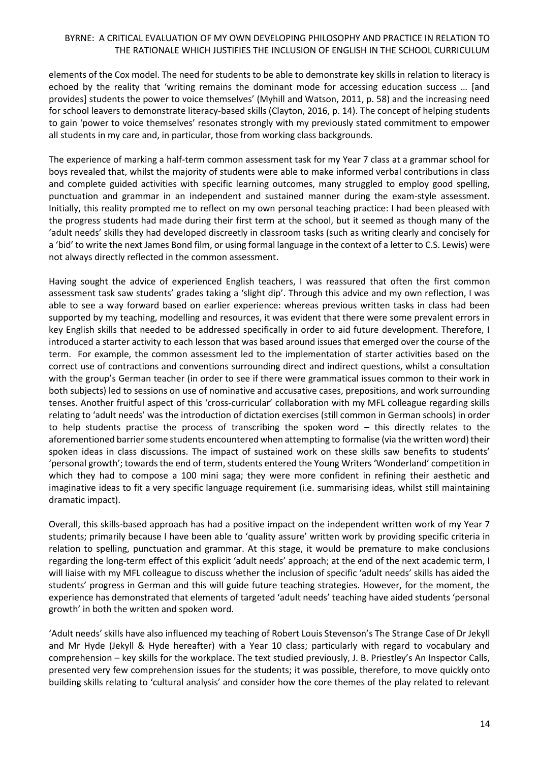elements of the Cox model. The need for students to be able to demonstrate key skills in relation to literacy is echoed by the reality that 'writing remains the dominant mode for accessing education success … [and provides] students the power to voice themselves' (Myhill and Watson, 2011, p. 58) and the increasing need for school leavers to demonstrate literacy-based skills (Clayton, 2016, p. 14). The concept of helping students to gain 'power to voice themselves' resonates strongly with my previously stated commitment to empower all students in my care and, in particular, those from working class backgrounds.

The experience of marking a half-term common assessment task for my Year 7 class at a grammar school for boys revealed that, whilst the majority of students were able to make informed verbal contributions in class and complete guided activities with specific learning outcomes, many struggled to employ good spelling, punctuation and grammar in an independent and sustained manner during the exam-style assessment. Initially, this reality prompted me to reflect on my own personal teaching practice: I had been pleased with the progress students had made during their first term at the school, but it seemed as though many of the 'adult needs' skills they had developed discreetly in classroom tasks (such as writing clearly and concisely for a 'bid' to write the next James Bond film, or using formal language in the context of a letter to C.S. Lewis) were not always directly reflected in the common assessment.

Having sought the advice of experienced English teachers, I was reassured that often the first common assessment task saw students' grades taking a 'slight dip'. Through this advice and my own reflection, I was able to see a way forward based on earlier experience: whereas previous written tasks in class had been supported by my teaching, modelling and resources, it was evident that there were some prevalent errors in key English skills that needed to be addressed specifically in order to aid future development. Therefore, I introduced a starter activity to each lesson that was based around issues that emerged over the course of the term. For example, the common assessment led to the implementation of starter activities based on the correct use of contractions and conventions surrounding direct and indirect questions, whilst a consultation with the group's German teacher (in order to see if there were grammatical issues common to their work in both subjects) led to sessions on use of nominative and accusative cases, prepositions, and work surrounding tenses. Another fruitful aspect of this 'cross-curricular' collaboration with my MFL colleague regarding skills relating to 'adult needs' was the introduction of dictation exercises (still common in German schools) in order to help students practise the process of transcribing the spoken word – this directly relates to the aforementioned barrier some students encountered when attempting to formalise (via the written word) their spoken ideas in class discussions. The impact of sustained work on these skills saw benefits to students' 'personal growth'; towards the end of term, students entered the Young Writers 'Wonderland' competition in which they had to compose a 100 mini saga; they were more confident in refining their aesthetic and imaginative ideas to fit a very specific language requirement (i.e. summarising ideas, whilst still maintaining dramatic impact).

Overall, this skills-based approach has had a positive impact on the independent written work of my Year 7 students; primarily because I have been able to 'quality assure' written work by providing specific criteria in relation to spelling, punctuation and grammar. At this stage, it would be premature to make conclusions regarding the long-term effect of this explicit 'adult needs' approach; at the end of the next academic term, I will liaise with my MFL colleague to discuss whether the inclusion of specific 'adult needs' skills has aided the students' progress in German and this will guide future teaching strategies. However, for the moment, the experience has demonstrated that elements of targeted 'adult needs' teaching have aided students 'personal growth' in both the written and spoken word.

'Adult needs' skills have also influenced my teaching of Robert Louis Stevenson's The Strange Case of Dr Jekyll and Mr Hyde (Jekyll & Hyde hereafter) with a Year 10 class; particularly with regard to vocabulary and comprehension – key skills for the workplace. The text studied previously, J. B. Priestley's An Inspector Calls, presented very few comprehension issues for the students; it was possible, therefore, to move quickly onto building skills relating to 'cultural analysis' and consider how the core themes of the play related to relevant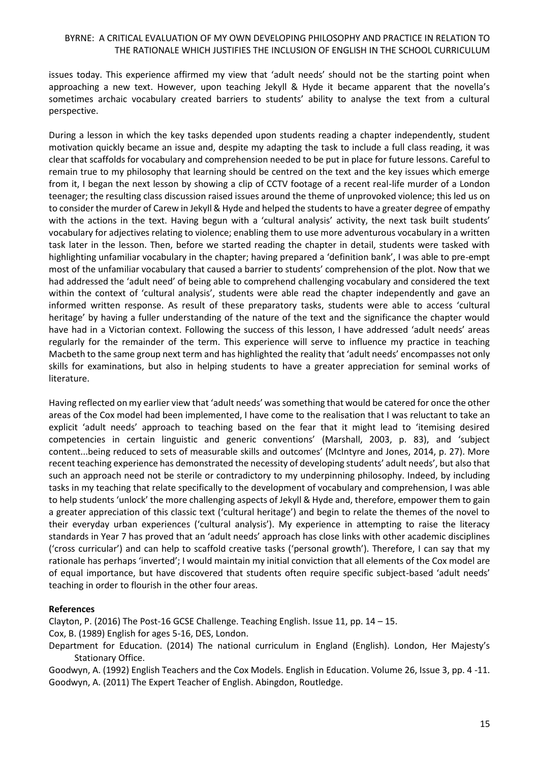issues today. This experience affirmed my view that 'adult needs' should not be the starting point when approaching a new text. However, upon teaching Jekyll & Hyde it became apparent that the novella's sometimes archaic vocabulary created barriers to students' ability to analyse the text from a cultural perspective.

During a lesson in which the key tasks depended upon students reading a chapter independently, student motivation quickly became an issue and, despite my adapting the task to include a full class reading, it was clear that scaffolds for vocabulary and comprehension needed to be put in place for future lessons. Careful to remain true to my philosophy that learning should be centred on the text and the key issues which emerge from it, I began the next lesson by showing a clip of CCTV footage of a recent real-life murder of a London teenager; the resulting class discussion raised issues around the theme of unprovoked violence; this led us on to consider the murder of Carew in Jekyll & Hyde and helped the students to have a greater degree of empathy with the actions in the text. Having begun with a 'cultural analysis' activity, the next task built students' vocabulary for adjectives relating to violence; enabling them to use more adventurous vocabulary in a written task later in the lesson. Then, before we started reading the chapter in detail, students were tasked with highlighting unfamiliar vocabulary in the chapter; having prepared a 'definition bank', I was able to pre-empt most of the unfamiliar vocabulary that caused a barrier to students' comprehension of the plot. Now that we had addressed the 'adult need' of being able to comprehend challenging vocabulary and considered the text within the context of 'cultural analysis', students were able read the chapter independently and gave an informed written response. As result of these preparatory tasks, students were able to access 'cultural heritage' by having a fuller understanding of the nature of the text and the significance the chapter would have had in a Victorian context. Following the success of this lesson, I have addressed 'adult needs' areas regularly for the remainder of the term. This experience will serve to influence my practice in teaching Macbeth to the same group next term and has highlighted the reality that 'adult needs' encompasses not only skills for examinations, but also in helping students to have a greater appreciation for seminal works of literature.

Having reflected on my earlier view that 'adult needs' was something that would be catered for once the other areas of the Cox model had been implemented, I have come to the realisation that I was reluctant to take an explicit 'adult needs' approach to teaching based on the fear that it might lead to 'itemising desired competencies in certain linguistic and generic conventions' (Marshall, 2003, p. 83), and 'subject content...being reduced to sets of measurable skills and outcomes' (McIntyre and Jones, 2014, p. 27). More recent teaching experience has demonstrated the necessity of developing students' adult needs', but also that such an approach need not be sterile or contradictory to my underpinning philosophy. Indeed, by including tasks in my teaching that relate specifically to the development of vocabulary and comprehension, I was able to help students 'unlock' the more challenging aspects of Jekyll & Hyde and, therefore, empower them to gain a greater appreciation of this classic text ('cultural heritage') and begin to relate the themes of the novel to their everyday urban experiences ('cultural analysis'). My experience in attempting to raise the literacy standards in Year 7 has proved that an 'adult needs' approach has close links with other academic disciplines ('cross curricular') and can help to scaffold creative tasks ('personal growth'). Therefore, I can say that my rationale has perhaps 'inverted'; I would maintain my initial conviction that all elements of the Cox model are of equal importance, but have discovered that students often require specific subject-based 'adult needs' teaching in order to flourish in the other four areas.

#### **References**

Clayton, P. (2016) The Post-16 GCSE Challenge. Teaching English. Issue 11, pp. 14 – 15.

Cox, B. (1989) English for ages 5-16, DES, London.

Goodwyn, A. (1992) English Teachers and the Cox Models. English in Education. Volume 26, Issue 3, pp. 4 -11. Goodwyn, A. (2011) The Expert Teacher of English. Abingdon, Routledge.

Department for Education. (2014) The national curriculum in England (English). London, Her Majesty's Stationary Office.